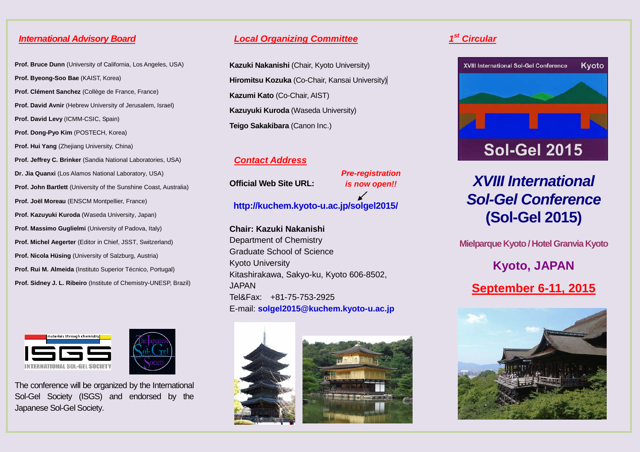#### *International Advisory Board*

**Prof. Bruce Dunn** (University of California, Los Angeles, USA) **Prof. Byeong-Soo Bae** (KAIST, Korea) **Prof. Clément Sanchez** (Collège de France, France) **Prof. David Avnir** (Hebrew University of Jerusalem, Israel) **Prof. David Levy** (ICMM-CSIC, Spain) **Prof. Dong-Pyo Kim** (POSTECH, Korea) **Prof. Hui Yang** (Zhejiang University, China) **Prof. Jeffrey C. Brinker** (Sandia National Laboratories, USA) **Dr. Jia Quanxi** (Los Alamos National Laboratory, USA) **Prof. John Bartlett** (University of the Sunshine Coast, Australia) **Prof. Joël Moreau** (ENSCM Montpellier, France) **Prof. Kazuyuki Kuroda** (Waseda University, Japan) **Prof. Massimo Guglielmi** (University of Padova, Italy) **Prof. Michel Aegerter** (Editor in Chief, JSST, Switzerland) **Prof. Nicola Hüsing** (University of Salzburg, Austria) **Prof. Rui M. Almeida** (Instituto Superior Técnico, Portugal) **Prof. Sidney J. L. Ribeiro** (Institute of Chemistry-UNESP, Brazil)



The conference will be organized by the International Sol-Gel Society (ISGS) and endorsed by the Japanese Sol-Gel Society.

#### *Local Organizing Committee*

**Kazuki Nakanishi** (Chair, Kyoto University) **Hiromitsu Kozuka** (Co-Chair, Kansai University) **Kazumi Kato** (Co-Chair, AIST) **Kazuyuki Kuroda** (Waseda University) **Teigo Sakakibara** (Canon Inc.)

#### *Contact Address*

**Official Web Site URL:** 

*Pre-registration is now open!!*

# **http://kuchem.kyoto-u.ac.jp/solgel2015/**

**Chair: Kazuki Nakanishi** Department of Chemistry Graduate School of Science Kyoto University Kitashirakawa, Sakyo-ku, Kyoto 606-8502, JAPAN Tel&Fax: +81-75-753-2925 E-mail: **solgel2015@kuchem.kyoto-u.ac.jp**



### *1st Circular*



# *XVIII International Sol-Gel Conference* **(Sol-Gel 2015)**

**Mielparque Kyoto/ Hotel Granvia Kyoto**

**Kyoto, JAPAN**

# **September 6-11, 2015**